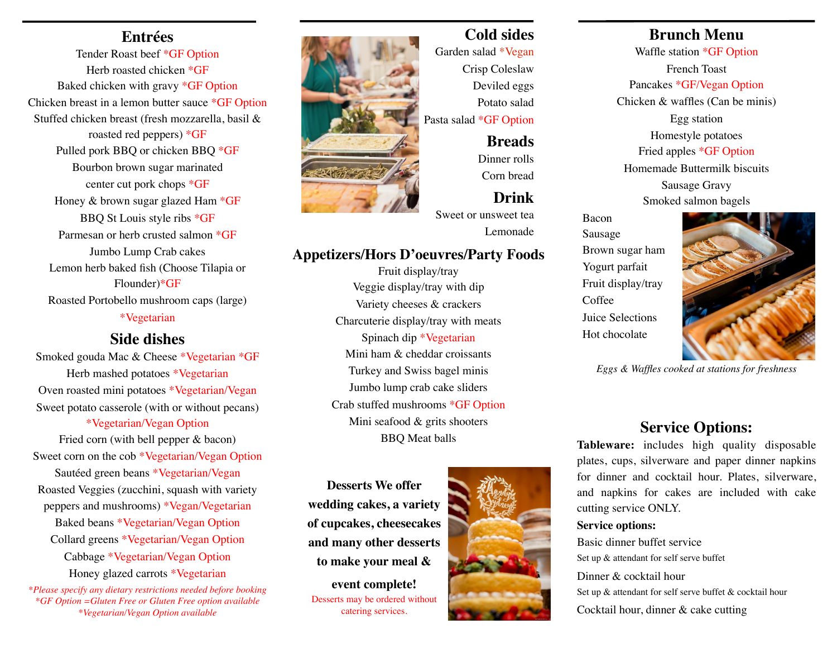## **Entrées**

Tender Roast beef \*GF Option Herb roasted chicken \*GF Baked chicken with gravy \*GF Option Chicken breast in a lemon butter sauce \*GF Option Stuffed chicken breast (fresh mozzarella, basil & roasted red peppers) \*GF Pulled pork BBQ or chicken BBQ \*GF Bourbon brown sugar marinated center cut pork chops \*GF Honey & brown sugar glazed Ham \*GF BBQ St Louis style ribs \*GF Parmesan or herb crusted salmon \*GF Jumbo Lump Crab cakes Lemon herb baked fish (Choose Tilapia or Flounder)\*GF Roasted Portobello mushroom caps (large) \*Vegetarian

## **Side dishes**

Smoked gouda Mac & Cheese \*Vegetarian \*GF Herb mashed potatoes \*Vegetarian Oven roasted mini potatoes \*Vegetarian/Vegan Sweet potato casserole (with or without pecans)

\*Vegetarian/Vegan Option Fried corn (with bell pepper & bacon) Sweet corn on the cob \*Vegetarian/Vegan Option Sautéed green beans \*Vegetarian/Vegan

Roasted Veggies (zucchini, squash with variety peppers and mushrooms) \*Vegan/Vegetarian Baked beans \*Vegetarian/Vegan Option Collard greens \*Vegetarian/Vegan Option

> Cabbage \*Vegetarian/Vegan Option Honey glazed carrots \*Vegetarian

*\*Please specify any dietary restrictions needed before booking \*GF Option =Gluten Free or Gluten Free option available \*Vegetarian/Vegan Option available* 



# **Cold sides**

Garden salad \*Vegan Crisp Coleslaw Deviled eggs Potato salad Pasta salad \*GF Option

> **Breads** Dinner rolls

Corn bread

# **Drink**

Sweet or unsweet tea Lemonade

### **Appetizers/Hors D'oeuvres/Party Foods**

Fruit display/tray Veggie display/tray with dip Variety cheeses & crackers Charcuterie display/tray with meats Spinach dip \*Vegetarian Mini ham & cheddar croissants Turkey and Swiss bagel minis Jumbo lump crab cake sliders Crab stuffed mushrooms \*GF Option Mini seafood & grits shooters BBQ Meat balls

**Desserts We offer wedding cakes, a variety of cupcakes, cheesecakes and many other desserts to make your meal &** 

**event complete!** Desserts may be ordered without catering services.



# **Brunch Menu**

Waffle station \*GF Option French Toast Pancakes \*GF/Vegan Option Chicken & waffles (Can be minis) Egg station Homestyle potatoes Fried apples \*GF Option Homemade Buttermilk biscuits Sausage Gravy Smoked salmon bagels

Bacon Sausage Brown sugar ham Yogurt parfait Fruit display/tray Coffee Juice Selections Hot chocolate



*Eggs & Waffles cooked at stations for freshness*

# **Service Options:**

**Tableware:** includes high quality disposable plates, cups, silverware and paper dinner napkins for dinner and cocktail hour. Plates, silverware, and napkins for cakes are included with cake cutting service ONLY.

#### **Service options:**

Basic dinner buffet service Set up & attendant for self serve buffet Dinner & cocktail hour Set up & attendant for self serve buffet & cocktail hour Cocktail hour, dinner & cake cutting